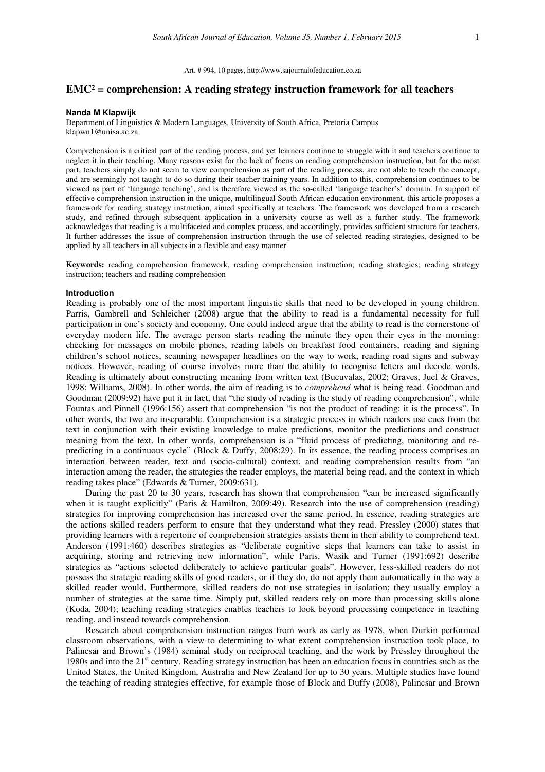Art. # 994, 10 pages, http://www.sajournalofeducation.co.za

## **EMC² = comprehension: A reading strategy instruction framework for all teachers**

#### **Nanda M Klapwijk**

Department of Linguistics & Modern Languages, University of South Africa, Pretoria Campus klapwn1@unisa.ac.za

Comprehension is a critical part of the reading process, and yet learners continue to struggle with it and teachers continue to neglect it in their teaching. Many reasons exist for the lack of focus on reading comprehension instruction, but for the most part, teachers simply do not seem to view comprehension as part of the reading process, are not able to teach the concept, and are seemingly not taught to do so during their teacher training years. In addition to this, comprehension continues to be viewed as part of 'language teaching', and is therefore viewed as the so-called 'language teacher's' domain. In support of effective comprehension instruction in the unique, multilingual South African education environment, this article proposes a framework for reading strategy instruction, aimed specifically at teachers. The framework was developed from a research study, and refined through subsequent application in a university course as well as a further study. The framework acknowledges that reading is a multifaceted and complex process, and accordingly, provides sufficient structure for teachers. It further addresses the issue of comprehension instruction through the use of selected reading strategies, designed to be applied by all teachers in all subjects in a flexible and easy manner.

**Keywords:** reading comprehension framework, reading comprehension instruction; reading strategies; reading strategy instruction; teachers and reading comprehension

### **Introduction**

Reading is probably one of the most important linguistic skills that need to be developed in young children. Parris, Gambrell and Schleicher (2008) argue that the ability to read is a fundamental necessity for full participation in one's society and economy. One could indeed argue that the ability to read is the cornerstone of everyday modern life. The average person starts reading the minute they open their eyes in the morning: checking for messages on mobile phones, reading labels on breakfast food containers, reading and signing children's school notices, scanning newspaper headlines on the way to work, reading road signs and subway notices. However, reading of course involves more than the ability to recognise letters and decode words. Reading is ultimately about constructing meaning from written text (Bucuvalas, 2002; Graves, Juel & Graves, 1998; Williams, 2008). In other words, the aim of reading is to *comprehend* what is being read. Goodman and Goodman (2009:92) have put it in fact, that "the study of reading is the study of reading comprehension", while Fountas and Pinnell (1996:156) assert that comprehension "is not the product of reading: it is the process". In other words, the two are inseparable. Comprehension is a strategic process in which readers use cues from the text in conjunction with their existing knowledge to make predictions, monitor the predictions and construct meaning from the text. In other words, comprehension is a "fluid process of predicting, monitoring and repredicting in a continuous cycle" (Block & Duffy, 2008:29). In its essence, the reading process comprises an interaction between reader, text and (socio-cultural) context, and reading comprehension results from "an interaction among the reader, the strategies the reader employs, the material being read, and the context in which reading takes place" (Edwards & Turner, 2009:631).

During the past 20 to 30 years, research has shown that comprehension "can be increased significantly when it is taught explicitly" (Paris & Hamilton, 2009:49). Research into the use of comprehension (reading) strategies for improving comprehension has increased over the same period. In essence, reading strategies are the actions skilled readers perform to ensure that they understand what they read. Pressley (2000) states that providing learners with a repertoire of comprehension strategies assists them in their ability to comprehend text. Anderson (1991:460) describes strategies as "deliberate cognitive steps that learners can take to assist in acquiring, storing and retrieving new information", while Paris, Wasik and Turner (1991:692) describe strategies as "actions selected deliberately to achieve particular goals". However, less-skilled readers do not possess the strategic reading skills of good readers, or if they do, do not apply them automatically in the way a skilled reader would. Furthermore, skilled readers do not use strategies in isolation; they usually employ a number of strategies at the same time. Simply put, skilled readers rely on more than processing skills alone (Koda, 2004); teaching reading strategies enables teachers to look beyond processing competence in teaching reading, and instead towards comprehension.

Research about comprehension instruction ranges from work as early as 1978, when Durkin performed classroom observations, with a view to determining to what extent comprehension instruction took place, to Palincsar and Brown's (1984) seminal study on reciprocal teaching, and the work by Pressley throughout the 1980s and into the  $21<sup>st</sup>$  century. Reading strategy instruction has been an education focus in countries such as the United States, the United Kingdom, Australia and New Zealand for up to 30 years. Multiple studies have found the teaching of reading strategies effective, for example those of Block and Duffy (2008), Palincsar and Brown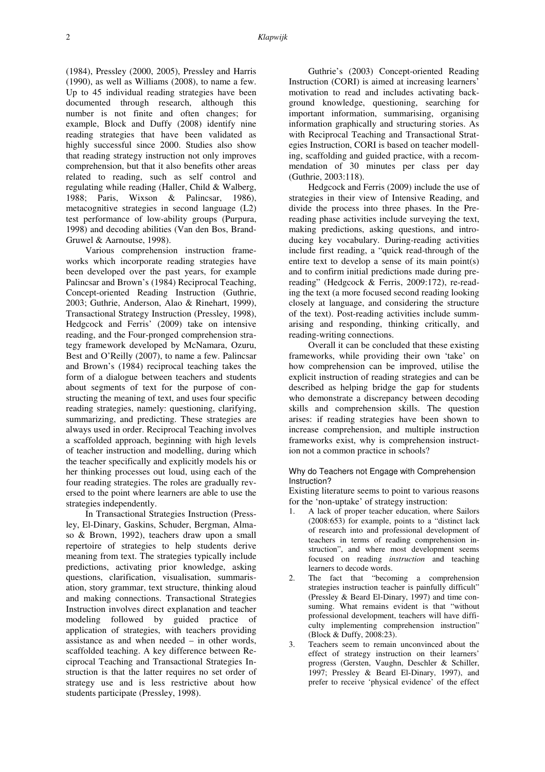(1984), Pressley (2000, 2005), Pressley and Harris (1990), as well as Williams (2008), to name a few. Up to 45 individual reading strategies have been documented through research, although this number is not finite and often changes; for example, Block and Duffy (2008) identify nine reading strategies that have been validated as highly successful since 2000. Studies also show that reading strategy instruction not only improves comprehension, but that it also benefits other areas related to reading, such as self control and regulating while reading (Haller, Child & Walberg, 1988; Paris, Wixson & Palincsar, 1986), metacognitive strategies in second language (L2) test performance of low-ability groups (Purpura, 1998) and decoding abilities (Van den Bos, Brand-Gruwel & Aarnoutse, 1998).

Various comprehension instruction frameworks which incorporate reading strategies have been developed over the past years, for example Palincsar and Brown's (1984) Reciprocal Teaching, Concept-oriented Reading Instruction (Guthrie, 2003; Guthrie, Anderson, Alao & Rinehart, 1999), Transactional Strategy Instruction (Pressley, 1998), Hedgcock and Ferris' (2009) take on intensive reading, and the Four-pronged comprehension strategy framework developed by McNamara, Ozuru, Best and O'Reilly (2007), to name a few. Palincsar and Brown's (1984) reciprocal teaching takes the form of a dialogue between teachers and students about segments of text for the purpose of constructing the meaning of text, and uses four specific reading strategies, namely: questioning, clarifying, summarizing, and predicting. These strategies are always used in order. Reciprocal Teaching involves a scaffolded approach, beginning with high levels of teacher instruction and modelling, during which the teacher specifically and explicitly models his or her thinking processes out loud, using each of the four reading strategies. The roles are gradually reversed to the point where learners are able to use the strategies independently.

In Transactional Strategies Instruction (Pressley, El-Dinary, Gaskins, Schuder, Bergman, Almaso & Brown, 1992), teachers draw upon a small repertoire of strategies to help students derive meaning from text. The strategies typically include predictions, activating prior knowledge, asking questions, clarification, visualisation, summarisation, story grammar, text structure, thinking aloud and making connections. Transactional Strategies Instruction involves direct explanation and teacher modeling followed by guided practice of application of strategies, with teachers providing assistance as and when needed – in other words, scaffolded teaching. A key difference between Reciprocal Teaching and Transactional Strategies Instruction is that the latter requires no set order of strategy use and is less restrictive about how students participate (Pressley, 1998).

Guthrie's (2003) Concept-oriented Reading Instruction (CORI) is aimed at increasing learners' motivation to read and includes activating background knowledge, questioning, searching for important information, summarising, organising information graphically and structuring stories. As with Reciprocal Teaching and Transactional Strategies Instruction, CORI is based on teacher modelling, scaffolding and guided practice, with a recommendation of 30 minutes per class per day (Guthrie, 2003:118).

Hedgcock and Ferris (2009) include the use of strategies in their view of Intensive Reading, and divide the process into three phases. In the Prereading phase activities include surveying the text, making predictions, asking questions, and introducing key vocabulary. During-reading activities include first reading, a "quick read-through of the entire text to develop a sense of its main point(s) and to confirm initial predictions made during prereading" (Hedgcock & Ferris, 2009:172), re-reading the text (a more focused second reading looking closely at language, and considering the structure of the text). Post-reading activities include summarising and responding, thinking critically, and reading-writing connections.

Overall it can be concluded that these existing frameworks, while providing their own 'take' on how comprehension can be improved, utilise the explicit instruction of reading strategies and can be described as helping bridge the gap for students who demonstrate a discrepancy between decoding skills and comprehension skills. The question arises: if reading strategies have been shown to increase comprehension, and multiple instruction frameworks exist, why is comprehension instruction not a common practice in schools?

## Why do Teachers not Engage with Comprehension Instruction?

Existing literature seems to point to various reasons for the 'non-uptake' of strategy instruction:

- 1. A lack of proper teacher education, where Sailors (2008:653) for example, points to a "distinct lack of research into and professional development of teachers in terms of reading comprehension instruction", and where most development seems focused on reading *instruction* and teaching learners to decode words.
- 2. The fact that "becoming a comprehension strategies instruction teacher is painfully difficult" (Pressley & Beard El-Dinary, 1997) and time consuming. What remains evident is that "without professional development, teachers will have difficulty implementing comprehension instruction" (Block & Duffy, 2008:23).
- 3. Teachers seem to remain unconvinced about the effect of strategy instruction on their learners' progress (Gersten, Vaughn, Deschler & Schiller, 1997; Pressley & Beard El-Dinary, 1997), and prefer to receive 'physical evidence' of the effect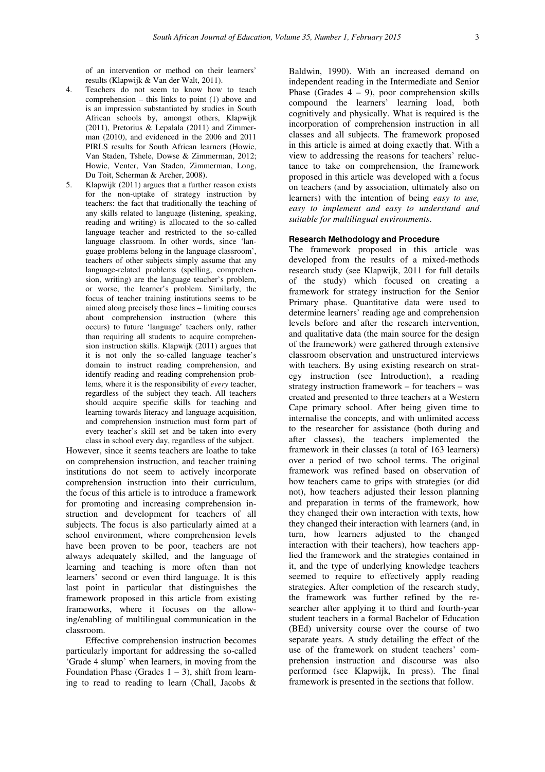of an intervention or method on their learners' results (Klapwijk & Van der Walt, 2011).

- 4. Teachers do not seem to know how to teach comprehension – this links to point (1) above and is an impression substantiated by studies in South African schools by, amongst others, Klapwijk (2011), Pretorius & Lepalala (2011) and Zimmerman (2010), and evidenced in the 2006 and 2011 PIRLS results for South African learners (Howie, Van Staden, Tshele, Dowse & Zimmerman, 2012; Howie, Venter, Van Staden, Zimmerman, Long, Du Toit, Scherman & Archer, 2008).
- 5. Klapwijk (2011) argues that a further reason exists for the non-uptake of strategy instruction by teachers: the fact that traditionally the teaching of any skills related to language (listening, speaking, reading and writing) is allocated to the so-called language teacher and restricted to the so-called language classroom. In other words, since 'language problems belong in the language classroom', teachers of other subjects simply assume that any language-related problems (spelling, comprehension, writing) are the language teacher's problem, or worse, the learner's problem. Similarly, the focus of teacher training institutions seems to be aimed along precisely those lines – limiting courses about comprehension instruction (where this occurs) to future 'language' teachers only, rather than requiring all students to acquire comprehension instruction skills. Klapwijk (2011) argues that it is not only the so-called language teacher's domain to instruct reading comprehension, and identify reading and reading comprehension problems, where it is the responsibility of *every* teacher, regardless of the subject they teach. All teachers should acquire specific skills for teaching and learning towards literacy and language acquisition, and comprehension instruction must form part of every teacher's skill set and be taken into every class in school every day, regardless of the subject.

However, since it seems teachers are loathe to take on comprehension instruction, and teacher training institutions do not seem to actively incorporate comprehension instruction into their curriculum, the focus of this article is to introduce a framework for promoting and increasing comprehension instruction and development for teachers of all subjects. The focus is also particularly aimed at a school environment, where comprehension levels have been proven to be poor, teachers are not always adequately skilled, and the language of learning and teaching is more often than not learners' second or even third language. It is this last point in particular that distinguishes the framework proposed in this article from existing frameworks, where it focuses on the allowing/enabling of multilingual communication in the classroom.

Effective comprehension instruction becomes particularly important for addressing the so-called 'Grade 4 slump' when learners, in moving from the Foundation Phase (Grades  $1 - 3$ ), shift from learning to read to reading to learn (Chall, Jacobs &

Baldwin, 1990). With an increased demand on independent reading in the Intermediate and Senior Phase (Grades  $4 - 9$ ), poor comprehension skills compound the learners' learning load, both cognitively and physically. What is required is the incorporation of comprehension instruction in all classes and all subjects. The framework proposed in this article is aimed at doing exactly that. With a view to addressing the reasons for teachers' reluctance to take on comprehension, the framework proposed in this article was developed with a focus on teachers (and by association, ultimately also on learners) with the intention of being *easy to use, easy to implement and easy to understand and suitable for multilingual environments*.

### **Research Methodology and Procedure**

The framework proposed in this article was developed from the results of a mixed-methods research study (see Klapwijk, 2011 for full details of the study) which focused on creating a framework for strategy instruction for the Senior Primary phase. Quantitative data were used to determine learners' reading age and comprehension levels before and after the research intervention, and qualitative data (the main source for the design of the framework) were gathered through extensive classroom observation and unstructured interviews with teachers. By using existing research on strategy instruction (see Introduction), a reading strategy instruction framework – for teachers – was created and presented to three teachers at a Western Cape primary school. After being given time to internalise the concepts, and with unlimited access to the researcher for assistance (both during and after classes), the teachers implemented the framework in their classes (a total of 163 learners) over a period of two school terms. The original framework was refined based on observation of how teachers came to grips with strategies (or did not), how teachers adjusted their lesson planning and preparation in terms of the framework, how they changed their own interaction with texts, how they changed their interaction with learners (and, in turn, how learners adjusted to the changed interaction with their teachers), how teachers applied the framework and the strategies contained in it, and the type of underlying knowledge teachers seemed to require to effectively apply reading strategies. After completion of the research study, the framework was further refined by the researcher after applying it to third and fourth-year student teachers in a formal Bachelor of Education (BEd) university course over the course of two separate years. A study detailing the effect of the use of the framework on student teachers' comprehension instruction and discourse was also performed (see Klapwijk, In press). The final framework is presented in the sections that follow.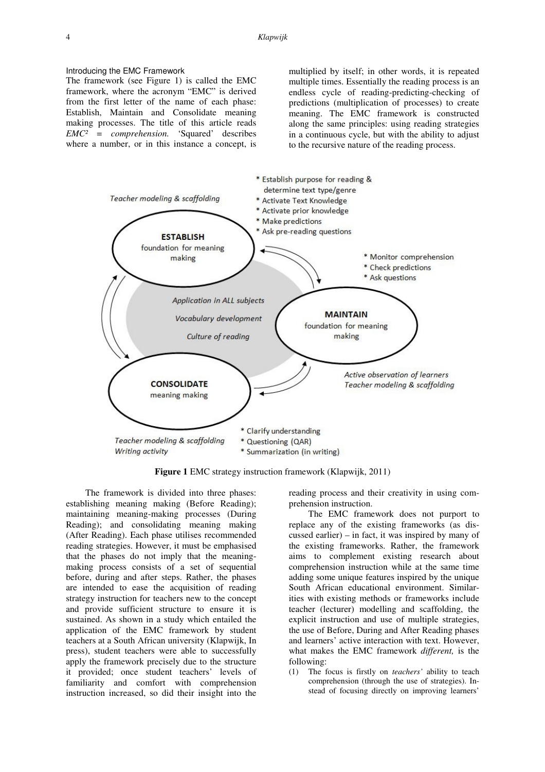## Introducing the EMC Framework

The framework (see Figure 1) is called the EMC framework, where the acronym "EMC" is derived from the first letter of the name of each phase: Establish, Maintain and Consolidate meaning making processes. The title of this article reads *EMC² = comprehension.* 'Squared' describes where a number, or in this instance a concept, is

multiplied by itself; in other words, it is repeated multiple times. Essentially the reading process is an endless cycle of reading-predicting-checking of predictions (multiplication of processes) to create meaning. The EMC framework is constructed along the same principles: using reading strategies in a continuous cycle, but with the ability to adjust to the recursive nature of the reading process.



**Figure 1** EMC strategy instruction framework (Klapwijk, 2011)

The framework is divided into three phases: establishing meaning making (Before Reading); maintaining meaning-making processes (During Reading); and consolidating meaning making (After Reading). Each phase utilises recommended reading strategies. However, it must be emphasised that the phases do not imply that the meaningmaking process consists of a set of sequential before, during and after steps. Rather, the phases are intended to ease the acquisition of reading strategy instruction for teachers new to the concept and provide sufficient structure to ensure it is sustained. As shown in a study which entailed the application of the EMC framework by student teachers at a South African university (Klapwijk, In press), student teachers were able to successfully apply the framework precisely due to the structure it provided; once student teachers' levels of familiarity and comfort with comprehension instruction increased, so did their insight into the

reading process and their creativity in using comprehension instruction.

The EMC framework does not purport to replace any of the existing frameworks (as discussed earlier) – in fact, it was inspired by many of the existing frameworks. Rather, the framework aims to complement existing research about comprehension instruction while at the same time adding some unique features inspired by the unique South African educational environment. Similarities with existing methods or frameworks include teacher (lecturer) modelling and scaffolding, the explicit instruction and use of multiple strategies, the use of Before, During and After Reading phases and learners' active interaction with text. However, what makes the EMC framework *different,* is the following:

(1) The focus is firstly on *teachers'* ability to teach comprehension (through the use of strategies). Instead of focusing directly on improving learners'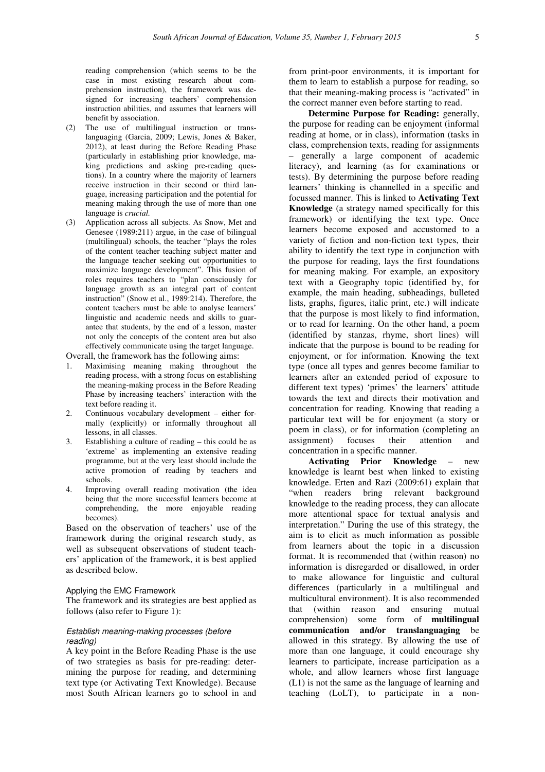reading comprehension (which seems to be the case in most existing research about comprehension instruction), the framework was designed for increasing teachers' comprehension instruction abilities, and assumes that learners will benefit by association.

- (2) The use of multilingual instruction or translanguaging (Garcia, 2009; Lewis, Jones & Baker, 2012), at least during the Before Reading Phase (particularly in establishing prior knowledge, making predictions and asking pre-reading questions). In a country where the majority of learners receive instruction in their second or third language, increasing participation and the potential for meaning making through the use of more than one language is *crucial.*
- (3) Application across all subjects. As Snow, Met and Genesee (1989:211) argue, in the case of bilingual (multilingual) schools, the teacher "plays the roles of the content teacher teaching subject matter and the language teacher seeking out opportunities to maximize language development". This fusion of roles requires teachers to "plan consciously for language growth as an integral part of content instruction" (Snow et al., 1989:214). Therefore, the content teachers must be able to analyse learners' linguistic and academic needs and skills to guarantee that students, by the end of a lesson, master not only the concepts of the content area but also effectively communicate using the target language.

Overall, the framework has the following aims:

- 1. Maximising meaning making throughout the reading process, with a strong focus on establishing the meaning-making process in the Before Reading Phase by increasing teachers' interaction with the text before reading it.
- 2. Continuous vocabulary development either formally (explicitly) or informally throughout all lessons, in all classes.
- 3. Establishing a culture of reading this could be as 'extreme' as implementing an extensive reading programme, but at the very least should include the active promotion of reading by teachers and schools.
- 4. Improving overall reading motivation (the idea being that the more successful learners become at comprehending, the more enjoyable reading becomes).

Based on the observation of teachers' use of the framework during the original research study, as well as subsequent observations of student teachers' application of the framework, it is best applied as described below.

# Applying the EMC Framework

The framework and its strategies are best applied as follows (also refer to Figure 1):

## Establish meaning-making processes (before reading)

A key point in the Before Reading Phase is the use of two strategies as basis for pre-reading: determining the purpose for reading, and determining text type (or Activating Text Knowledge). Because most South African learners go to school in and from print-poor environments, it is important for them to learn to establish a purpose for reading, so that their meaning-making process is "activated" in the correct manner even before starting to read.

**Determine Purpose for Reading:** generally, the purpose for reading can be enjoyment (informal reading at home, or in class), information (tasks in class, comprehension texts, reading for assignments – generally a large component of academic literacy), and learning (as for examinations or tests). By determining the purpose before reading learners' thinking is channelled in a specific and focussed manner. This is linked to **Activating Text Knowledge** (a strategy named specifically for this framework) or identifying the text type. Once learners become exposed and accustomed to a variety of fiction and non-fiction text types, their ability to identify the text type in conjunction with the purpose for reading, lays the first foundations for meaning making. For example, an expository text with a Geography topic (identified by, for example, the main heading, subheadings, bulleted lists, graphs, figures, italic print, etc.) will indicate that the purpose is most likely to find information, or to read for learning. On the other hand, a poem (identified by stanzas, rhyme, short lines) will indicate that the purpose is bound to be reading for enjoyment, or for information. Knowing the text type (once all types and genres become familiar to learners after an extended period of exposure to different text types) 'primes' the learners' attitude towards the text and directs their motivation and concentration for reading. Knowing that reading a particular text will be for enjoyment (a story or poem in class), or for information (completing an assignment) focuses their attention and concentration in a specific manner.

**Activating Prior Knowledge** – new knowledge is learnt best when linked to existing knowledge. Erten and Razi (2009:61) explain that "when readers bring relevant background knowledge to the reading process, they can allocate more attentional space for textual analysis and interpretation." During the use of this strategy, the aim is to elicit as much information as possible from learners about the topic in a discussion format. It is recommended that (within reason) no information is disregarded or disallowed, in order to make allowance for linguistic and cultural differences (particularly in a multilingual and multicultural environment). It is also recommended that (within reason and ensuring mutual comprehension) some form of **multilingual communication and/or translanguaging** be allowed in this strategy. By allowing the use of more than one language, it could encourage shy learners to participate, increase participation as a whole, and allow learners whose first language (L1) is not the same as the language of learning and teaching (LoLT), to participate in a non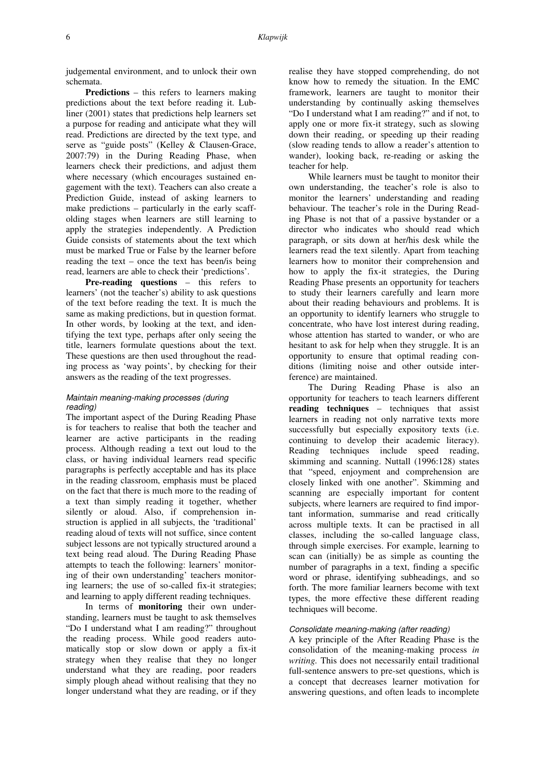judgemental environment, and to unlock their own schemata.

**Predictions** – this refers to learners making predictions about the text before reading it. Lubliner (2001) states that predictions help learners set a purpose for reading and anticipate what they will read. Predictions are directed by the text type, and serve as "guide posts" (Kelley & Clausen-Grace, 2007:79) in the During Reading Phase, when learners check their predictions, and adjust them where necessary (which encourages sustained engagement with the text). Teachers can also create a Prediction Guide, instead of asking learners to make predictions – particularly in the early scaffolding stages when learners are still learning to apply the strategies independently. A Prediction Guide consists of statements about the text which must be marked True or False by the learner before reading the text – once the text has been/is being read, learners are able to check their 'predictions'.

**Pre-reading questions** – this refers to learners' (not the teacher's) ability to ask questions of the text before reading the text. It is much the same as making predictions, but in question format. In other words, by looking at the text, and identifying the text type, perhaps after only seeing the title, learners formulate questions about the text. These questions are then used throughout the reading process as 'way points', by checking for their answers as the reading of the text progresses.

## Maintain meaning-making processes (during reading)

The important aspect of the During Reading Phase is for teachers to realise that both the teacher and learner are active participants in the reading process. Although reading a text out loud to the class, or having individual learners read specific paragraphs is perfectly acceptable and has its place in the reading classroom, emphasis must be placed on the fact that there is much more to the reading of a text than simply reading it together, whether silently or aloud. Also, if comprehension instruction is applied in all subjects, the 'traditional' reading aloud of texts will not suffice, since content subject lessons are not typically structured around a text being read aloud. The During Reading Phase attempts to teach the following: learners' monitoring of their own understanding' teachers monitoring learners; the use of so-called fix-it strategies; and learning to apply different reading techniques.

In terms of **monitoring** their own understanding, learners must be taught to ask themselves "Do I understand what I am reading?" throughout the reading process. While good readers automatically stop or slow down or apply a fix-it strategy when they realise that they no longer understand what they are reading, poor readers simply plough ahead without realising that they no longer understand what they are reading, or if they realise they have stopped comprehending, do not know how to remedy the situation. In the EMC framework, learners are taught to monitor their understanding by continually asking themselves "Do I understand what I am reading?" and if not, to apply one or more fix-it strategy, such as slowing down their reading, or speeding up their reading (slow reading tends to allow a reader's attention to wander), looking back, re-reading or asking the teacher for help.

While learners must be taught to monitor their own understanding, the teacher's role is also to monitor the learners' understanding and reading behaviour. The teacher's role in the During Reading Phase is not that of a passive bystander or a director who indicates who should read which paragraph, or sits down at her/his desk while the learners read the text silently. Apart from teaching learners how to monitor their comprehension and how to apply the fix-it strategies, the During Reading Phase presents an opportunity for teachers to study their learners carefully and learn more about their reading behaviours and problems. It is an opportunity to identify learners who struggle to concentrate, who have lost interest during reading, whose attention has started to wander, or who are hesitant to ask for help when they struggle. It is an opportunity to ensure that optimal reading conditions (limiting noise and other outside interference) are maintained.

The During Reading Phase is also an opportunity for teachers to teach learners different **reading techniques** – techniques that assist learners in reading not only narrative texts more successfully but especially expository texts (i.e. continuing to develop their academic literacy). Reading techniques include speed reading, skimming and scanning. Nuttall (1996:128) states that "speed, enjoyment and comprehension are closely linked with one another". Skimming and scanning are especially important for content subjects, where learners are required to find important information, summarise and read critically across multiple texts. It can be practised in all classes, including the so-called language class, through simple exercises. For example, learning to scan can (initially) be as simple as counting the number of paragraphs in a text, finding a specific word or phrase, identifying subheadings, and so forth. The more familiar learners become with text types, the more effective these different reading techniques will become.

### Consolidate meaning-making (after reading)

A key principle of the After Reading Phase is the consolidation of the meaning-making process *in writing.* This does not necessarily entail traditional full-sentence answers to pre-set questions, which is a concept that decreases learner motivation for answering questions, and often leads to incomplete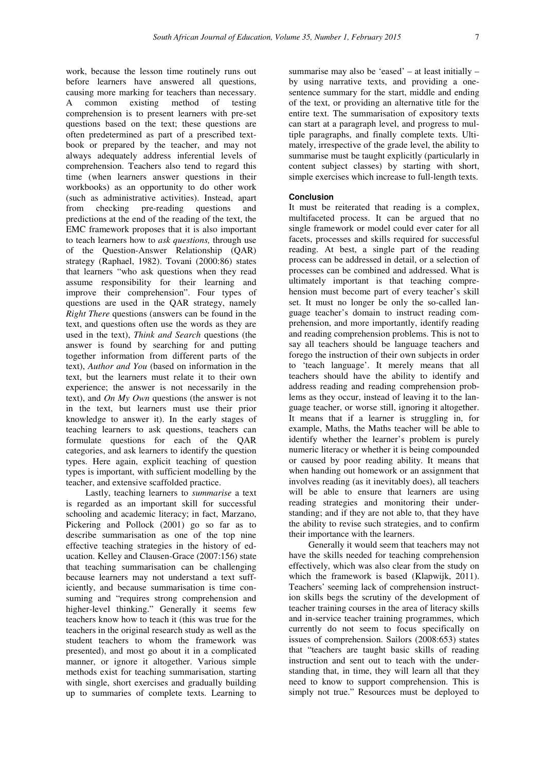work, because the lesson time routinely runs out before learners have answered all questions, causing more marking for teachers than necessary. A common existing method of testing comprehension is to present learners with pre-set questions based on the text; these questions are often predetermined as part of a prescribed textbook or prepared by the teacher, and may not always adequately address inferential levels of comprehension. Teachers also tend to regard this time (when learners answer questions in their workbooks) as an opportunity to do other work (such as administrative activities). Instead, apart from checking pre-reading questions and predictions at the end of the reading of the text, the EMC framework proposes that it is also important to teach learners how to *ask questions,* through use of the Question-Answer Relationship (QAR) strategy (Raphael, 1982). Tovani (2000:86) states that learners "who ask questions when they read assume responsibility for their learning and improve their comprehension". Four types of questions are used in the QAR strategy, namely *Right There* questions (answers can be found in the text, and questions often use the words as they are used in the text), *Think and Search* questions (the answer is found by searching for and putting together information from different parts of the text), *Author and You* (based on information in the text, but the learners must relate it to their own experience; the answer is not necessarily in the text), and *On My Own* questions (the answer is not in the text, but learners must use their prior knowledge to answer it). In the early stages of teaching learners to ask questions, teachers can formulate questions for each of the QAR categories, and ask learners to identify the question types. Here again, explicit teaching of question types is important, with sufficient modelling by the teacher, and extensive scaffolded practice.

Lastly, teaching learners to *summarise* a text is regarded as an important skill for successful schooling and academic literacy; in fact, Marzano, Pickering and Pollock (2001) go so far as to describe summarisation as one of the top nine effective teaching strategies in the history of education. Kelley and Clausen-Grace (2007:156) state that teaching summarisation can be challenging because learners may not understand a text sufficiently, and because summarisation is time consuming and "requires strong comprehension and higher-level thinking." Generally it seems few teachers know how to teach it (this was true for the teachers in the original research study as well as the student teachers to whom the framework was presented), and most go about it in a complicated manner, or ignore it altogether. Various simple methods exist for teaching summarisation, starting with single, short exercises and gradually building up to summaries of complete texts. Learning to

summarise may also be 'eased' – at least initially – by using narrative texts, and providing a onesentence summary for the start, middle and ending of the text, or providing an alternative title for the entire text. The summarisation of expository texts can start at a paragraph level, and progress to multiple paragraphs, and finally complete texts. Ultimately, irrespective of the grade level, the ability to summarise must be taught explicitly (particularly in content subject classes) by starting with short, simple exercises which increase to full-length texts.

## **Conclusion**

It must be reiterated that reading is a complex, multifaceted process. It can be argued that no single framework or model could ever cater for all facets, processes and skills required for successful reading. At best, a single part of the reading process can be addressed in detail, or a selection of processes can be combined and addressed. What is ultimately important is that teaching comprehension must become part of every teacher's skill set. It must no longer be only the so-called language teacher's domain to instruct reading comprehension, and more importantly, identify reading and reading comprehension problems. This is not to say all teachers should be language teachers and forego the instruction of their own subjects in order to 'teach language'. It merely means that all teachers should have the ability to identify and address reading and reading comprehension problems as they occur, instead of leaving it to the language teacher, or worse still, ignoring it altogether. It means that if a learner is struggling in, for example, Maths, the Maths teacher will be able to identify whether the learner's problem is purely numeric literacy or whether it is being compounded or caused by poor reading ability. It means that when handing out homework or an assignment that involves reading (as it inevitably does), all teachers will be able to ensure that learners are using reading strategies and monitoring their understanding; and if they are not able to, that they have the ability to revise such strategies, and to confirm their importance with the learners.

Generally it would seem that teachers may not have the skills needed for teaching comprehension effectively, which was also clear from the study on which the framework is based (Klapwijk, 2011). Teachers' seeming lack of comprehension instruction skills begs the scrutiny of the development of teacher training courses in the area of literacy skills and in-service teacher training programmes, which currently do not seem to focus specifically on issues of comprehension. Sailors (2008:653) states that "teachers are taught basic skills of reading instruction and sent out to teach with the understanding that, in time, they will learn all that they need to know to support comprehension. This is simply not true." Resources must be deployed to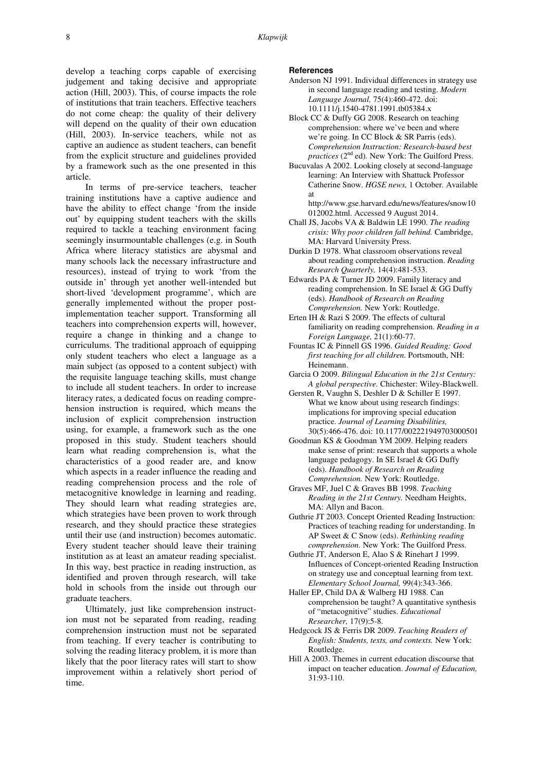develop a teaching corps capable of exercising judgement and taking decisive and appropriate action (Hill, 2003). This, of course impacts the role of institutions that train teachers. Effective teachers do not come cheap: the quality of their delivery will depend on the quality of their own education (Hill, 2003). In-service teachers, while not as captive an audience as student teachers, can benefit from the explicit structure and guidelines provided by a framework such as the one presented in this article.

In terms of pre-service teachers, teacher training institutions have a captive audience and have the ability to effect change 'from the inside out' by equipping student teachers with the skills required to tackle a teaching environment facing seemingly insurmountable challenges (e.g. in South Africa where literacy statistics are abysmal and many schools lack the necessary infrastructure and resources), instead of trying to work 'from the outside in' through yet another well-intended but short-lived 'development programme', which are generally implemented without the proper postimplementation teacher support. Transforming all teachers into comprehension experts will, however, require a change in thinking and a change to curriculums. The traditional approach of equipping only student teachers who elect a language as a main subject (as opposed to a content subject) with the requisite language teaching skills, must change to include all student teachers. In order to increase literacy rates, a dedicated focus on reading comprehension instruction is required, which means the inclusion of explicit comprehension instruction using, for example, a framework such as the one proposed in this study. Student teachers should learn what reading comprehension is, what the characteristics of a good reader are, and know which aspects in a reader influence the reading and reading comprehension process and the role of metacognitive knowledge in learning and reading. They should learn what reading strategies are, which strategies have been proven to work through research, and they should practice these strategies until their use (and instruction) becomes automatic. Every student teacher should leave their training institution as at least an amateur reading specialist. In this way, best practice in reading instruction, as identified and proven through research, will take hold in schools from the inside out through our graduate teachers.

Ultimately, just like comprehension instruction must not be separated from reading, reading comprehension instruction must not be separated from teaching. If every teacher is contributing to solving the reading literacy problem, it is more than likely that the poor literacy rates will start to show improvement within a relatively short period of time.

## **References**

- Anderson NJ 1991. Individual differences in strategy use in second language reading and testing. *Modern Language Journal,* 75(4):460-472. doi: 10.1111/j.1540-4781.1991.tb05384.x
- Block CC & Duffy GG 2008. Research on teaching comprehension: where we've been and where we're going. In CC Block & SR Parris (eds). *Comprehension Instruction: Research-based best practices* (2<sup>nd</sup> ed). New York: The Guilford Press.
- Bucuvalas A 2002. Looking closely at second-language learning: An Interview with Shattuck Professor Catherine Snow. *HGSE news,* 1 October*.* Available at
	- http://www.gse.harvard.edu/news/features/snow10 012002.html. Accessed 9 August 2014.
- Chall JS, Jacobs VA & Baldwin LE 1990. *The reading crisis: Why poor children fall behind.* Cambridge, MA: Harvard University Press.
- Durkin D 1978. What classroom observations reveal about reading comprehension instruction. *Reading Research Quarterly,* 14(4):481-533.
- Edwards PA & Turner JD 2009. Family literacy and reading comprehension. In SE Israel & GG Duffy (eds). *Handbook of Research on Reading Comprehension.* New York: Routledge.
- Erten IH & Razi S 2009. The effects of cultural familiarity on reading comprehension. *Reading in a Foreign Language,* 21(1):60-77.
- Fountas IC & Pinnell GS 1996. *Guided Reading: Good first teaching for all children.* Portsmouth, NH: Heinemann.
- Garcia O 2009. *Bilingual Education in the 21st Century: A global perspective.* Chichester: Wiley-Blackwell.
- Gersten R, Vaughn S, Deshler D & Schiller E 1997. What we know about using research findings: implications for improving special education practice. *Journal of Learning Disabilities,* 30(5):466-476. doi: 10.1177/002221949703000501
- Goodman KS & Goodman YM 2009. Helping readers make sense of print: research that supports a whole language pedagogy. In SE Israel & GG Duffy (eds). *Handbook of Research on Reading Comprehension.* New York: Routledge.
- Graves MF, Juel C & Graves BB 1998. *Teaching Reading in the 21st Century.* Needham Heights, MA: Allyn and Bacon.
- Guthrie JT 2003. Concept Oriented Reading Instruction: Practices of teaching reading for understanding. In AP Sweet & C Snow (eds). *Rethinking reading comprehension.* New York: The Guilford Press.
- Guthrie JT, Anderson E, Alao S & Rinehart J 1999. Influences of Concept-oriented Reading Instruction on strategy use and conceptual learning from text. *Elementary School Journal,* 99(4):343-366.
- Haller EP, Child DA & Walberg HJ 1988. Can comprehension be taught? A quantitative synthesis of "metacognitive" studies. *Educational Researcher,* 17(9):5-8.
- Hedgcock JS & Ferris DR 2009. *Teaching Readers of English: Students, texts, and contexts.* New York: Routledge.
- Hill A 2003. Themes in current education discourse that impact on teacher education. *Journal of Education,*  31:93-110.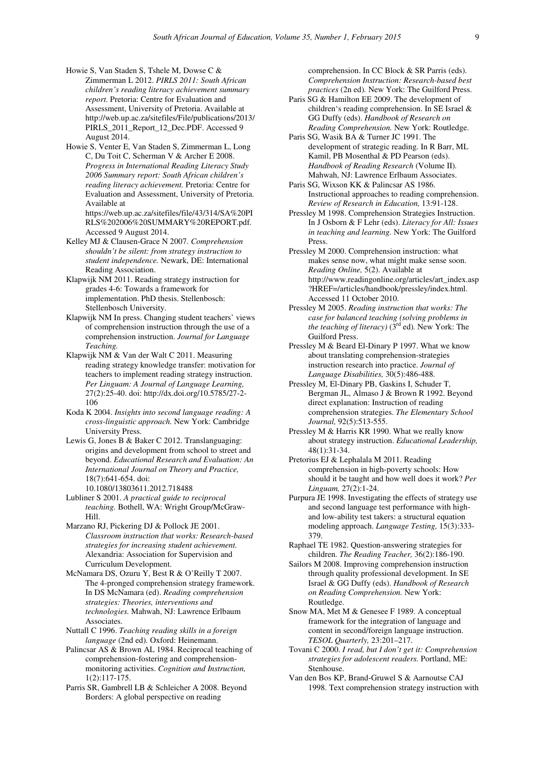- Howie S, Van Staden S, Tshele M, Dowse C & Zimmerman L 2012. *PIRLS 2011: South African children's reading literacy achievement summary report.* Pretoria: Centre for Evaluation and Assessment, University of Pretoria. Available at http://web.up.ac.za/sitefiles/File/publications/2013/ PIRLS\_2011\_Report\_12\_Dec.PDF. Accessed 9 August 2014.
- Howie S, Venter E, Van Staden S, Zimmerman L, Long C, Du Toit C, Scherman V & Archer E 2008. *Progress in International Reading Literacy Study 2006 Summary report: South African children's reading literacy achievement.* Pretoria: Centre for Evaluation and Assessment, University of Pretoria. Available at https://web.up.ac.za/sitefiles/file/43/314/SA%20PI
	- RLS%202006%20SUMMARY%20REPORT.pdf. Accessed 9 August 2014.
- Kelley MJ & Clausen-Grace N 2007. *Comprehension shouldn't be silent: from strategy instruction to student independence.* Newark, DE: International Reading Association.
- Klapwijk NM 2011. Reading strategy instruction for grades 4-6: Towards a framework for implementation. PhD thesis. Stellenbosch: Stellenbosch University.
- Klapwijk NM In press. Changing student teachers' views of comprehension instruction through the use of a comprehension instruction. *Journal for Language Teaching.*
- Klapwijk NM & Van der Walt C 2011. Measuring reading strategy knowledge transfer: motivation for teachers to implement reading strategy instruction. *Per Linguam: A Journal of Language Learning,* 27(2):25-40. doi: http://dx.doi.org/10.5785/27-2- 106
- Koda K 2004. *Insights into second language reading: A cross-linguistic approach.* New York: Cambridge University Press.
- Lewis G, Jones B & Baker C 2012. Translanguaging: origins and development from school to street and beyond. *Educational Research and Evaluation: An International Journal on Theory and Practice,* 18(7):641-654. doi: 10.1080/13803611.2012.718488
- Lubliner S 2001. *A practical guide to reciprocal teaching.* Bothell, WA: Wright Group/McGraw-
- Hill. Marzano RJ, Pickering DJ & Pollock JE 2001. *Classroom instruction that works: Research-based strategies for increasing student achievement.* Alexandria: Association for Supervision and Curriculum Development.
- McNamara DS, Ozuru Y, Best R & O'Reilly T 2007. The 4-pronged comprehension strategy framework. In DS McNamara (ed). *Reading comprehension strategies: Theories, interventions and technologies.* Mahwah, NJ: Lawrence Erlbaum Associates.
- Nuttall C 1996. *Teaching reading skills in a foreign language* (2nd ed)*.* Oxford: Heinemann.
- Palincsar AS & Brown AL 1984. Reciprocal teaching of comprehension-fostering and comprehensionmonitoring activities. *Cognition and Instruction,* 1(2):117-175.
- Parris SR, Gambrell LB & Schleicher A 2008. Beyond Borders: A global perspective on reading

comprehension. In CC Block & SR Parris (eds). *Comprehension Instruction: Research-based best practices* (2n ed)*.* New York: The Guilford Press.

- Paris SG & Hamilton EE 2009. The development of children's reading comprehension. In SE Israel & GG Duffy (eds). *Handbook of Research on Reading Comprehension.* New York: Routledge.
- Paris SG, Wasik BA & Turner JC 1991. The development of strategic reading. In R Barr, ML Kamil, PB Mosenthal & PD Pearson (eds). *Handbook of Reading Research* (Volume II)*.* Mahwah, NJ: Lawrence Erlbaum Associates.
- Paris SG, Wixson KK & Palincsar AS 1986. Instructional approaches to reading comprehension. *Review of Research in Education,* 13:91-128.
- Pressley M 1998. Comprehension Strategies Instruction. In J Osborn & F Lehr (eds). *Literacy for All: Issues in teaching and learning.* New York: The Guilford Press.
- Pressley M 2000. Comprehension instruction: what makes sense now, what might make sense soon. *Reading Online,* 5(2). Available at http://www.readingonline.org/articles/art\_index.asp ?HREF=/articles/handbook/pressley/index.html. Accessed 11 October 2010.
- Pressley M 2005. *Reading instruction that works: The case for balanced teaching (solving problems in the teaching of literacy)* (3<sup>rd</sup> ed). New York: The Guilford Press.
- Pressley M & Beard El-Dinary P 1997. What we know about translating comprehension-strategies instruction research into practice. *Journal of Language Disabilities,* 30(5):486-488.
- Pressley M, El-Dinary PB, Gaskins I, Schuder T, Bergman JL, Almaso J & Brown R 1992. Beyond direct explanation: Instruction of reading comprehension strategies. *The Elementary School Journal,* 92(5):513-555.
- Pressley M & Harris KR 1990. What we really know about strategy instruction. *Educational Leadership,* 48(1):31-34.
- Pretorius EJ & Lephalala M 2011. Reading comprehension in high-poverty schools: How should it be taught and how well does it work? *Per Linguam,* 27(2):1-24.
- Purpura JE 1998. Investigating the effects of strategy use and second language test performance with highand low-ability test takers: a structural equation modeling approach. *Language Testing,* 15(3):333- 379.
- Raphael TE 1982. Question-answering strategies for children. *The Reading Teacher,* 36(2):186-190.
- Sailors M 2008. Improving comprehension instruction through quality professional development. In SE Israel & GG Duffy (eds). *Handbook of Research on Reading Comprehension.* New York: Routledge.
- Snow MA, Met M & Genesee F 1989. A conceptual framework for the integration of language and content in second/foreign language instruction. *TESOL Quarterly,* 23:201–217.
- Tovani C 2000. *I read, but I don't get it: Comprehension strategies for adolescent readers.* Portland, ME: Stenhouse.
- Van den Bos KP, Brand-Gruwel S & Aarnoutse CAJ 1998. Text comprehension strategy instruction with